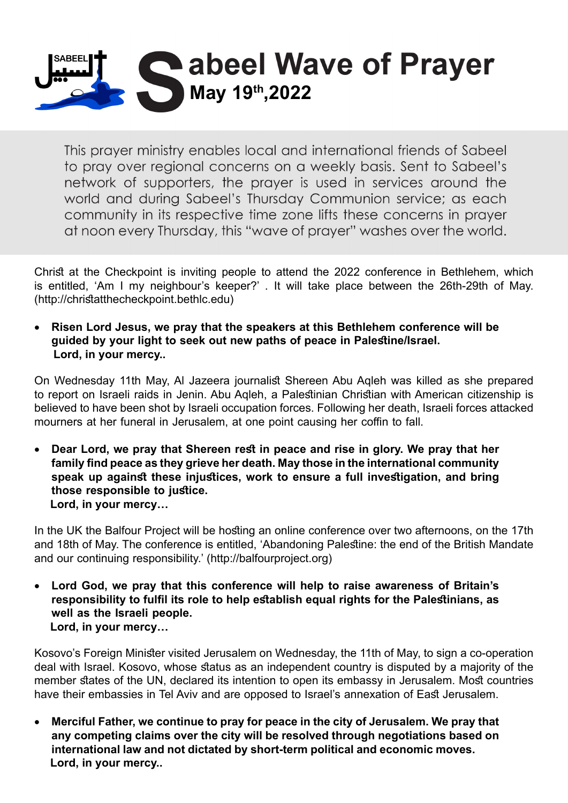

This prayer ministry enables local and international friends of Sabeel to pray over regional concerns on a weekly basis. Sent to Sabeel's network of supporters, the prayer is used in services around the world and during Sabeel's Thursday Communion service; as each community in its respective time zone lifts these concerns in prayer at noon every Thursday, this "wave of prayer" washes over the world.

Christ at the Checkpoint is inviting people to attend the 2022 conference in Bethlehem, which is entitled, 'Am I my neighbour's keeper?' . It will take place between the 26th-29th of May. (http://christatthecheckpoint.bethlc.edu)

**Risen Lord Jesus, we pray that the speakers at this Bethlehem conference will be** quided by your light to seek out new paths of peace in Palestine/Israel. Lord, in your mercy..

On Wednesday 11th May, AI Jazeera journalist Shereen Abu Agleh was killed as she prepared to report on Israeli raids in Jenin. Abu Agleh, a Palestinian Christian with American citizenship is believed to have been shot by Israeli occupation forces. Following her death, Israeli forces attacked mourners at her funeral in Jerusalem, at one point causing her coffin to fall.

Dear Lord, we pray that Shereen rest in peace and rise in glory. We pray that her family find peace as they grieve her death. May those in the international community speak up against these injustices, work to ensure a full investigation, and bring those responsible to justice. Lord, in your mercy...

In the UK the Balfour Project will be hosting an online conference over two afternoons, on the 17th and 18th of May. The conference is entitled, 'Abandoning Palestine: the end of the British Mandate and our continuing responsibility.' (http://balfourproject.org)

Lord God, we pray that this conference will help to raise awareness of Britain's responsibility to fulfil its role to help establish equal rights for the Palestinians, as well as the Israeli people. Lord, in your mercy...

Kosovo's Foreign Minister visited Jerusalem on Wednesday, the 11th of May, to sign a co-operation deal with Israel. Kosovo, whose status as an independent country is disputed by a majority of the member states of the UN, declared its intention to open its embassy in Jerusalem. Most countries have their embassies in Tel Aviv and are opposed to Israel's annexation of East Jerusalem.

• Merciful Father, we continue to pray for peace in the city of Jerusalem. We pray that any competing claims over the city will be resolved through negotiations based on international law and not dictated by short-term political and economic moves. Lord, in your mercy..